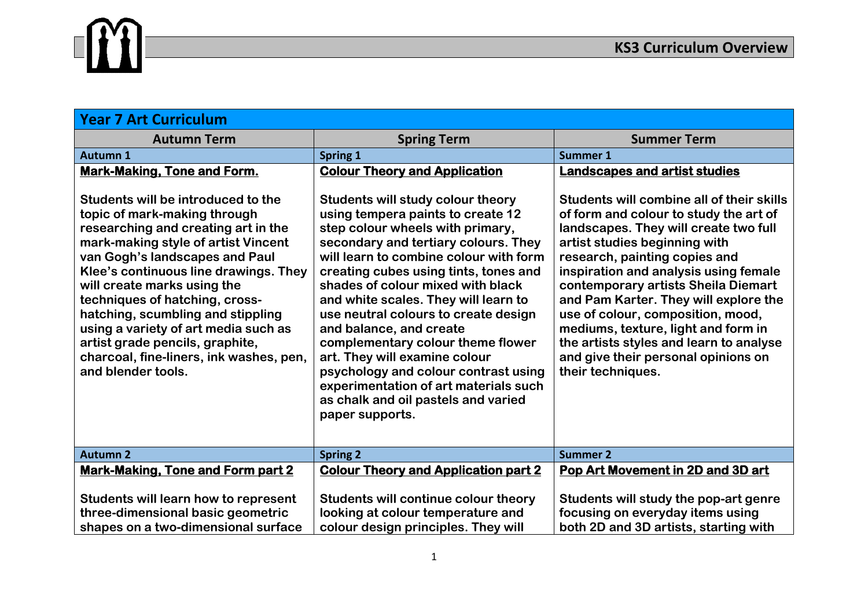

| <b>Year 7 Art Curriculum</b>                                                                                                                                                                                                                                                                                                                                                                                                                                                  |                                                                                                                                                                                                                                                                                                                                                                                                                                                                                                                                                                                                        |                                                                                                                                                                                                                                                                                                                                                                                                                                                                                                            |
|-------------------------------------------------------------------------------------------------------------------------------------------------------------------------------------------------------------------------------------------------------------------------------------------------------------------------------------------------------------------------------------------------------------------------------------------------------------------------------|--------------------------------------------------------------------------------------------------------------------------------------------------------------------------------------------------------------------------------------------------------------------------------------------------------------------------------------------------------------------------------------------------------------------------------------------------------------------------------------------------------------------------------------------------------------------------------------------------------|------------------------------------------------------------------------------------------------------------------------------------------------------------------------------------------------------------------------------------------------------------------------------------------------------------------------------------------------------------------------------------------------------------------------------------------------------------------------------------------------------------|
| <b>Autumn Term</b>                                                                                                                                                                                                                                                                                                                                                                                                                                                            | <b>Spring Term</b>                                                                                                                                                                                                                                                                                                                                                                                                                                                                                                                                                                                     | <b>Summer Term</b>                                                                                                                                                                                                                                                                                                                                                                                                                                                                                         |
| <b>Autumn 1</b>                                                                                                                                                                                                                                                                                                                                                                                                                                                               | <b>Spring 1</b>                                                                                                                                                                                                                                                                                                                                                                                                                                                                                                                                                                                        | <b>Summer 1</b>                                                                                                                                                                                                                                                                                                                                                                                                                                                                                            |
| <b>Mark-Making, Tone and Form.</b>                                                                                                                                                                                                                                                                                                                                                                                                                                            | <b>Colour Theory and Application</b>                                                                                                                                                                                                                                                                                                                                                                                                                                                                                                                                                                   | <b>Landscapes and artist studies</b>                                                                                                                                                                                                                                                                                                                                                                                                                                                                       |
| Students will be introduced to the<br>topic of mark-making through<br>researching and creating art in the<br>mark-making style of artist Vincent<br>van Gogh's landscapes and Paul<br>Klee's continuous line drawings. They<br>will create marks using the<br>techniques of hatching, cross-<br>hatching, scumbling and stippling<br>using a variety of art media such as<br>artist grade pencils, graphite,<br>charcoal, fine-liners, ink washes, pen,<br>and blender tools. | Students will study colour theory<br>using tempera paints to create 12<br>step colour wheels with primary,<br>secondary and tertiary colours. They<br>will learn to combine colour with form<br>creating cubes using tints, tones and<br>shades of colour mixed with black<br>and white scales. They will learn to<br>use neutral colours to create design<br>and balance, and create<br>complementary colour theme flower<br>art. They will examine colour<br>psychology and colour contrast using<br>experimentation of art materials such<br>as chalk and oil pastels and varied<br>paper supports. | Students will combine all of their skills<br>of form and colour to study the art of<br>landscapes. They will create two full<br>artist studies beginning with<br>research, painting copies and<br>inspiration and analysis using female<br>contemporary artists Sheila Diemart<br>and Pam Karter. They will explore the<br>use of colour, composition, mood,<br>mediums, texture, light and form in<br>the artists styles and learn to analyse<br>and give their personal opinions on<br>their techniques. |
| <b>Autumn 2</b>                                                                                                                                                                                                                                                                                                                                                                                                                                                               | <b>Spring 2</b>                                                                                                                                                                                                                                                                                                                                                                                                                                                                                                                                                                                        | <b>Summer 2</b>                                                                                                                                                                                                                                                                                                                                                                                                                                                                                            |
| <b>Mark-Making, Tone and Form part 2</b>                                                                                                                                                                                                                                                                                                                                                                                                                                      | <b>Colour Theory and Application part 2</b>                                                                                                                                                                                                                                                                                                                                                                                                                                                                                                                                                            | Pop Art Movement in 2D and 3D art                                                                                                                                                                                                                                                                                                                                                                                                                                                                          |
| Students will learn how to represent<br>three-dimensional basic geometric                                                                                                                                                                                                                                                                                                                                                                                                     | Students will continue colour theory<br>looking at colour temperature and                                                                                                                                                                                                                                                                                                                                                                                                                                                                                                                              | Students will study the pop-art genre<br>focusing on everyday items using                                                                                                                                                                                                                                                                                                                                                                                                                                  |
| shapes on a two-dimensional surface                                                                                                                                                                                                                                                                                                                                                                                                                                           | colour design principles. They will                                                                                                                                                                                                                                                                                                                                                                                                                                                                                                                                                                    | both 2D and 3D artists, starting with                                                                                                                                                                                                                                                                                                                                                                                                                                                                      |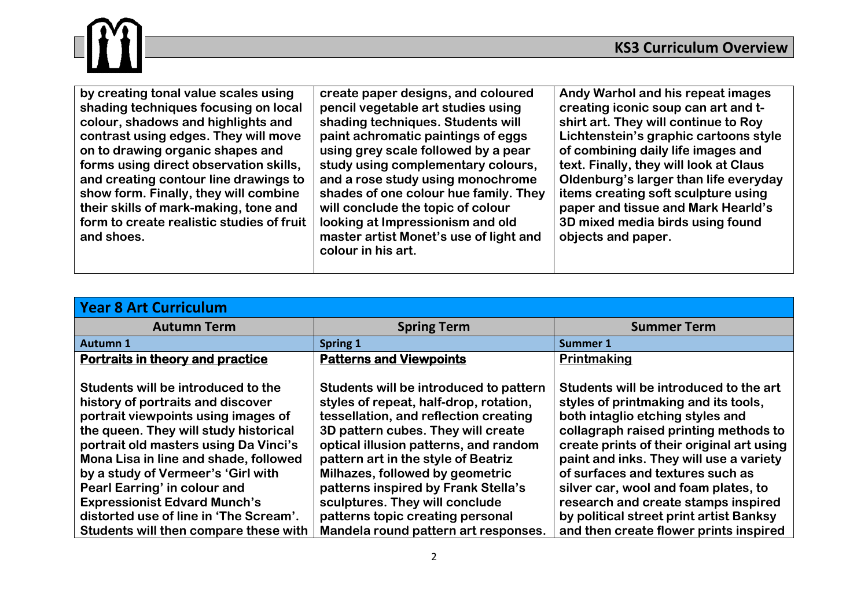

| <b>Year 8 Art Curriculum</b>                                                                                                                                                                                                                                                                                                                                                                                                              |                                                                                                                                                                                                                                                                                                                                                                                                                                         |                                                                                                                                                                                                                                                                                                                                                                                                                                                             |
|-------------------------------------------------------------------------------------------------------------------------------------------------------------------------------------------------------------------------------------------------------------------------------------------------------------------------------------------------------------------------------------------------------------------------------------------|-----------------------------------------------------------------------------------------------------------------------------------------------------------------------------------------------------------------------------------------------------------------------------------------------------------------------------------------------------------------------------------------------------------------------------------------|-------------------------------------------------------------------------------------------------------------------------------------------------------------------------------------------------------------------------------------------------------------------------------------------------------------------------------------------------------------------------------------------------------------------------------------------------------------|
| <b>Autumn Term</b>                                                                                                                                                                                                                                                                                                                                                                                                                        | <b>Spring Term</b>                                                                                                                                                                                                                                                                                                                                                                                                                      | <b>Summer Term</b>                                                                                                                                                                                                                                                                                                                                                                                                                                          |
| <b>Autumn 1</b>                                                                                                                                                                                                                                                                                                                                                                                                                           | Spring 1                                                                                                                                                                                                                                                                                                                                                                                                                                | <b>Summer 1</b>                                                                                                                                                                                                                                                                                                                                                                                                                                             |
| Portraits in theory and practice                                                                                                                                                                                                                                                                                                                                                                                                          | <b>Patterns and Viewpoints</b>                                                                                                                                                                                                                                                                                                                                                                                                          | Printmaking                                                                                                                                                                                                                                                                                                                                                                                                                                                 |
| Students will be introduced to the<br>history of portraits and discover<br>portrait viewpoints using images of<br>the queen. They will study historical<br>portrait old masters using Da Vinci's<br>Mona Lisa in line and shade, followed<br>by a study of Vermeer's 'Girl with<br>Pearl Earring' in colour and<br><b>Expressionist Edvard Munch's</b><br>distorted use of line in 'The Scream'.<br>Students will then compare these with | Students will be introduced to pattern<br>styles of repeat, half-drop, rotation,<br>tessellation, and reflection creating<br>3D pattern cubes. They will create<br>optical illusion patterns, and random<br>pattern art in the style of Beatriz<br>Milhazes, followed by geometric<br>patterns inspired by Frank Stella's<br>sculptures. They will conclude<br>patterns topic creating personal<br>Mandela round pattern art responses. | Students will be introduced to the art<br>styles of printmaking and its tools,<br>both intaglio etching styles and<br>collagraph raised printing methods to<br>create prints of their original art using<br>paint and inks. They will use a variety<br>of surfaces and textures such as<br>silver car, wool and foam plates, to<br>research and create stamps inspired<br>by political street print artist Banksy<br>and then create flower prints inspired |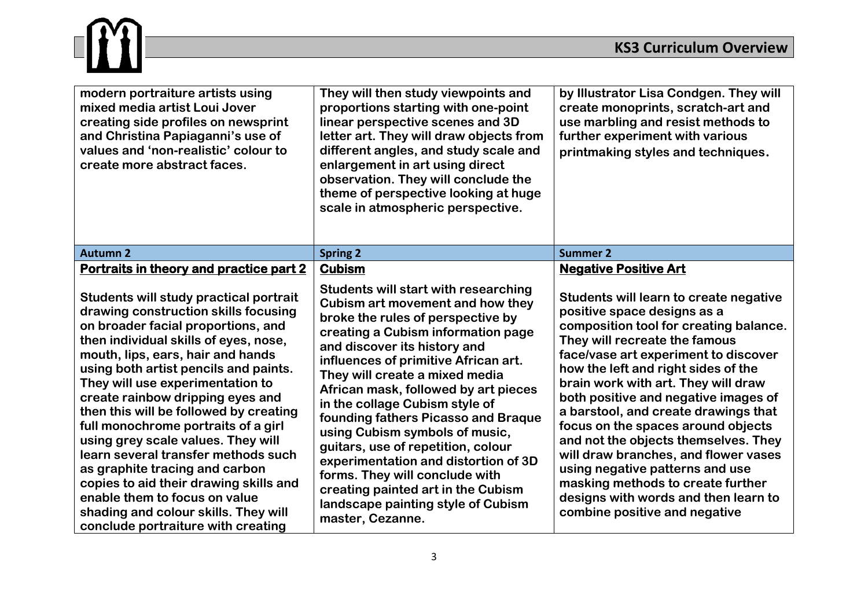## m

| modern portraiture artists using<br>mixed media artist Loui Jover<br>creating side profiles on newsprint<br>and Christina Papiaganni's use of<br>values and 'non-realistic' colour to<br>create more abstract faces.                                                                                                                                                                                                                                                                                                                                                                                                                                                         | They will then study viewpoints and<br>proportions starting with one-point<br>linear perspective scenes and 3D<br>letter art. They will draw objects from<br>different angles, and study scale and<br>enlargement in art using direct<br>observation. They will conclude the<br>theme of perspective looking at huge<br>scale in atmospheric perspective.                                                                                                                                                                                                                                                                               | by Illustrator Lisa Condgen. They will<br>create monoprints, scratch-art and<br>use marbling and resist methods to<br>further experiment with various<br>printmaking styles and techniques.                                                                                                                                                                                                                                                                                                                                                                                                                                   |
|------------------------------------------------------------------------------------------------------------------------------------------------------------------------------------------------------------------------------------------------------------------------------------------------------------------------------------------------------------------------------------------------------------------------------------------------------------------------------------------------------------------------------------------------------------------------------------------------------------------------------------------------------------------------------|-----------------------------------------------------------------------------------------------------------------------------------------------------------------------------------------------------------------------------------------------------------------------------------------------------------------------------------------------------------------------------------------------------------------------------------------------------------------------------------------------------------------------------------------------------------------------------------------------------------------------------------------|-------------------------------------------------------------------------------------------------------------------------------------------------------------------------------------------------------------------------------------------------------------------------------------------------------------------------------------------------------------------------------------------------------------------------------------------------------------------------------------------------------------------------------------------------------------------------------------------------------------------------------|
| <b>Autumn 2</b>                                                                                                                                                                                                                                                                                                                                                                                                                                                                                                                                                                                                                                                              | <b>Spring 2</b>                                                                                                                                                                                                                                                                                                                                                                                                                                                                                                                                                                                                                         | <b>Summer 2</b>                                                                                                                                                                                                                                                                                                                                                                                                                                                                                                                                                                                                               |
| Portraits in theory and practice part 2                                                                                                                                                                                                                                                                                                                                                                                                                                                                                                                                                                                                                                      | <b>Cubism</b>                                                                                                                                                                                                                                                                                                                                                                                                                                                                                                                                                                                                                           | <b>Negative Positive Art</b>                                                                                                                                                                                                                                                                                                                                                                                                                                                                                                                                                                                                  |
| Students will study practical portrait<br>drawing construction skills focusing<br>on broader facial proportions, and<br>then individual skills of eyes, nose,<br>mouth, lips, ears, hair and hands<br>using both artist pencils and paints.<br>They will use experimentation to<br>create rainbow dripping eyes and<br>then this will be followed by creating<br>full monochrome portraits of a girl<br>using grey scale values. They will<br>learn several transfer methods such<br>as graphite tracing and carbon<br>copies to aid their drawing skills and<br>enable them to focus on value<br>shading and colour skills. They will<br>conclude portraiture with creating | <b>Students will start with researching</b><br>Cubism art movement and how they<br>broke the rules of perspective by<br>creating a Cubism information page<br>and discover its history and<br>influences of primitive African art.<br>They will create a mixed media<br>African mask, followed by art pieces<br>in the collage Cubism style of<br>founding fathers Picasso and Braque<br>using Cubism symbols of music,<br>guitars, use of repetition, colour<br>experimentation and distortion of 3D<br>forms. They will conclude with<br>creating painted art in the Cubism<br>landscape painting style of Cubism<br>master, Cezanne. | Students will learn to create negative<br>positive space designs as a<br>composition tool for creating balance.<br>They will recreate the famous<br>face/vase art experiment to discover<br>how the left and right sides of the<br>brain work with art. They will draw<br>both positive and negative images of<br>a barstool, and create drawings that<br>focus on the spaces around objects<br>and not the objects themselves. They<br>will draw branches, and flower vases<br>using negative patterns and use<br>masking methods to create further<br>designs with words and then learn to<br>combine positive and negative |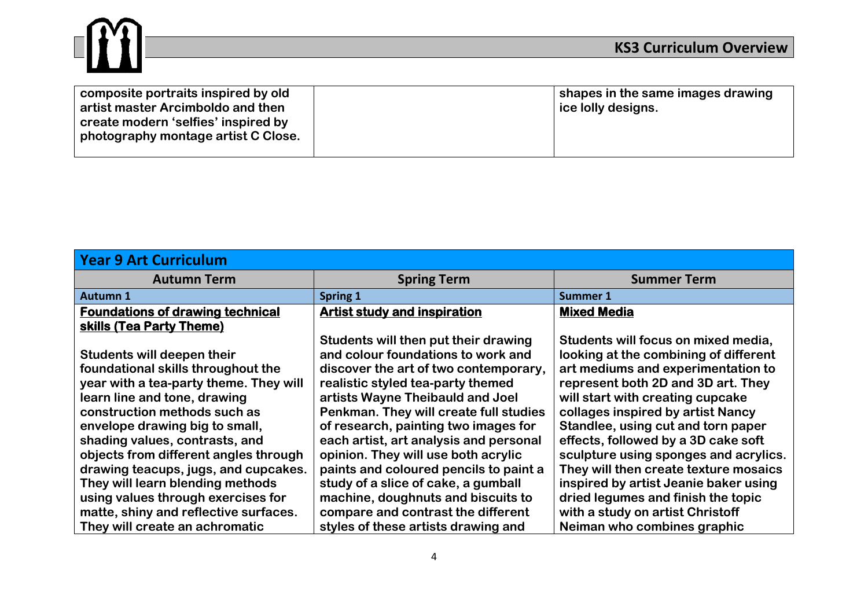

| <b>Year 9 Art Curriculum</b>            |                                        |                                       |
|-----------------------------------------|----------------------------------------|---------------------------------------|
| <b>Autumn Term</b>                      | <b>Spring Term</b>                     | <b>Summer Term</b>                    |
| <b>Autumn 1</b>                         | Spring 1                               | <b>Summer 1</b>                       |
| <b>Foundations of drawing technical</b> | <b>Artist study and inspiration</b>    | <b>Mixed Media</b>                    |
| skills (Tea Party Theme)                |                                        |                                       |
|                                         | Students will then put their drawing   | Students will focus on mixed media,   |
| Students will deepen their              | and colour foundations to work and     | looking at the combining of different |
| foundational skills throughout the      | discover the art of two contemporary,  | art mediums and experimentation to    |
| year with a tea-party theme. They will  | realistic styled tea-party themed      | represent both 2D and 3D art. They    |
| learn line and tone, drawing            | artists Wayne Theibauld and Joel       | will start with creating cupcake      |
| construction methods such as            | Penkman. They will create full studies | collages inspired by artist Nancy     |
| envelope drawing big to small,          | of research, painting two images for   | Standlee, using cut and torn paper    |
| shading values, contrasts, and          | each artist, art analysis and personal | effects, followed by a 3D cake soft   |
| objects from different angles through   | opinion. They will use both acrylic    | sculpture using sponges and acrylics. |
| drawing teacups, jugs, and cupcakes.    | paints and coloured pencils to paint a | They will then create texture mosaics |
| They will learn blending methods        | study of a slice of cake, a gumball    | inspired by artist Jeanie baker using |
| using values through exercises for      | machine, doughnuts and biscuits to     | dried legumes and finish the topic    |
| matte, shiny and reflective surfaces.   | compare and contrast the different     | with a study on artist Christoff      |
| They will create an achromatic          | styles of these artists drawing and    | Neiman who combines graphic           |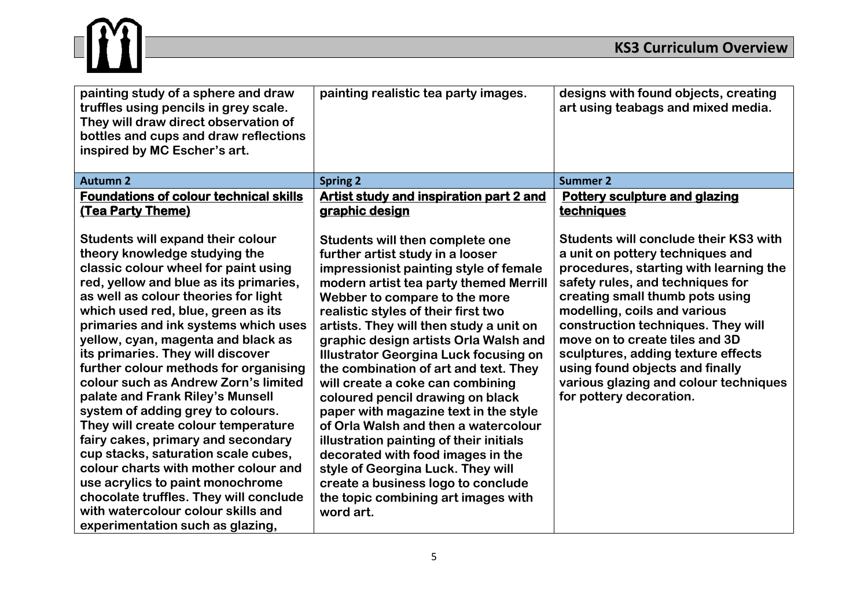

<u> 1980 - Johann Barbara, martxa a</u>

| painting study of a sphere and draw<br>truffles using pencils in grey scale.<br>They will draw direct observation of<br>bottles and cups and draw reflections<br>inspired by MC Escher's art.                                                                                                                                                                                                                                                                                                                                                                                                                                                                                                                                                                                                                                              | painting realistic tea party images.                                                                                                                                                                                                                                                                                                                                                                                                                                                                                                                                                                                                                                                                                                                                                 | designs with found objects, creating<br>art using teabags and mixed media.                                                                                                                                                                                                                                                                                                                                                                             |
|--------------------------------------------------------------------------------------------------------------------------------------------------------------------------------------------------------------------------------------------------------------------------------------------------------------------------------------------------------------------------------------------------------------------------------------------------------------------------------------------------------------------------------------------------------------------------------------------------------------------------------------------------------------------------------------------------------------------------------------------------------------------------------------------------------------------------------------------|--------------------------------------------------------------------------------------------------------------------------------------------------------------------------------------------------------------------------------------------------------------------------------------------------------------------------------------------------------------------------------------------------------------------------------------------------------------------------------------------------------------------------------------------------------------------------------------------------------------------------------------------------------------------------------------------------------------------------------------------------------------------------------------|--------------------------------------------------------------------------------------------------------------------------------------------------------------------------------------------------------------------------------------------------------------------------------------------------------------------------------------------------------------------------------------------------------------------------------------------------------|
| <b>Autumn 2</b>                                                                                                                                                                                                                                                                                                                                                                                                                                                                                                                                                                                                                                                                                                                                                                                                                            | <b>Spring 2</b>                                                                                                                                                                                                                                                                                                                                                                                                                                                                                                                                                                                                                                                                                                                                                                      | <b>Summer 2</b>                                                                                                                                                                                                                                                                                                                                                                                                                                        |
| <b>Foundations of colour technical skills</b><br>(Tea Party Theme)                                                                                                                                                                                                                                                                                                                                                                                                                                                                                                                                                                                                                                                                                                                                                                         | <b>Artist study and inspiration part 2 and</b><br>graphic design                                                                                                                                                                                                                                                                                                                                                                                                                                                                                                                                                                                                                                                                                                                     | <b>Pottery sculpture and glazing</b><br>techniques                                                                                                                                                                                                                                                                                                                                                                                                     |
| <b>Students will expand their colour</b><br>theory knowledge studying the<br>classic colour wheel for paint using<br>red, yellow and blue as its primaries,<br>as well as colour theories for light<br>which used red, blue, green as its<br>primaries and ink systems which uses<br>yellow, cyan, magenta and black as<br>its primaries. They will discover<br>further colour methods for organising<br>colour such as Andrew Zorn's limited<br>palate and Frank Riley's Munsell<br>system of adding grey to colours.<br>They will create colour temperature<br>fairy cakes, primary and secondary<br>cup stacks, saturation scale cubes,<br>colour charts with mother colour and<br>use acrylics to paint monochrome<br>chocolate truffles. They will conclude<br>with watercolour colour skills and<br>experimentation such as glazing, | Students will then complete one<br>further artist study in a looser<br>impressionist painting style of female<br>modern artist tea party themed Merrill<br>Webber to compare to the more<br>realistic styles of their first two<br>artists. They will then study a unit on<br>graphic design artists Orla Walsh and<br><b>Illustrator Georgina Luck focusing on</b><br>the combination of art and text. They<br>will create a coke can combining<br>coloured pencil drawing on black<br>paper with magazine text in the style<br>of Orla Walsh and then a watercolour<br>illustration painting of their initials<br>decorated with food images in the<br>style of Georgina Luck. They will<br>create a business logo to conclude<br>the topic combining art images with<br>word art. | <b>Students will conclude their KS3 with</b><br>a unit on pottery techniques and<br>procedures, starting with learning the<br>safety rules, and techniques for<br>creating small thumb pots using<br>modelling, coils and various<br>construction techniques. They will<br>move on to create tiles and 3D<br>sculptures, adding texture effects<br>using found objects and finally<br>various glazing and colour techniques<br>for pottery decoration. |